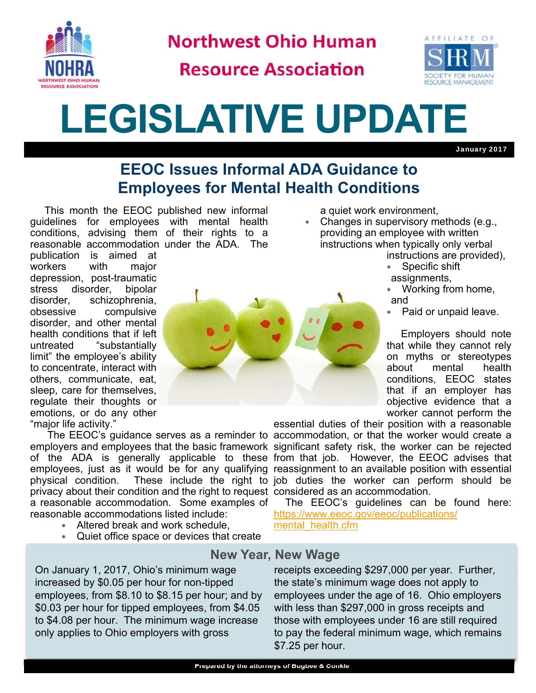

**Northwest Ohio Human** 

**Resource Association** 



## **LEGISLATIVE UPDATE**

January 2017

## **EEOC Issues Informal ADA Guidance to Employees for Mental Health Conditions**

 This month the EEOC published new informal guidelines for employees with mental health conditions, advising them of their rights to a reasonable accommodation under the ADA. The publication is aimed at workers with major depression, post-traumatic stress disorder, bipolar disorder, schizophrenia, obsessive compulsive disorder, and other mental health conditions that if left untreated "substantially limit" the employee's ability to concentrate, interact with others, communicate, eat, sleep, care for themselves, regulate their thoughts or emotions, or do any other "major life activity."

 The EEOC's guidance serves as a reminder to accommodation, or that the worker would create a employers and employees that the basic framework significant safety risk, the worker can be rejected of the ADA is generally applicable to these from that job. However, the EEOC advises that employees, just as it would be for any qualifying reassignment to an available position with essential physical condition. These include the right to job duties the worker can perform should be privacy about their condition and the right to request considered as an accommodation. a reasonable accommodation. Some examples of reasonable accommodations listed include:

- Altered break and work schedule,
- Quiet office space or devices that create

a quiet work environment,

- Changes in supervisory methods (e.g., providing an employee with written instructions when typically only verbal
	- instructions are provided),
	- Specific shift assignments,
	- Working from home, and
	- Paid or unpaid leave.

 Employers should note that while they cannot rely on myths or stereotypes about mental health conditions, EEOC states that if an employer has objective evidence that a worker cannot perform the

essential duties of their position with a reasonable

 The EEOC's guidelines can be found here: https://www.eeoc.gov/eeoc/publications/ mental health.cfm

On January 1, 2017, Ohio's minimum wage increased by \$0.05 per hour for non-tipped employees, from \$8.10 to \$8.15 per hour; and by \$0.03 per hour for tipped employees, from \$4.05 to \$4.08 per hour. The minimum wage increase only applies to Ohio employers with gross

## **New Year, New Wage**

receipts exceeding \$297,000 per year. Further, the state's minimum wage does not apply to employees under the age of 16. Ohio employers with less than \$297,000 in gross receipts and those with employees under 16 are still required to pay the federal minimum wage, which remains \$7.25 per hour.